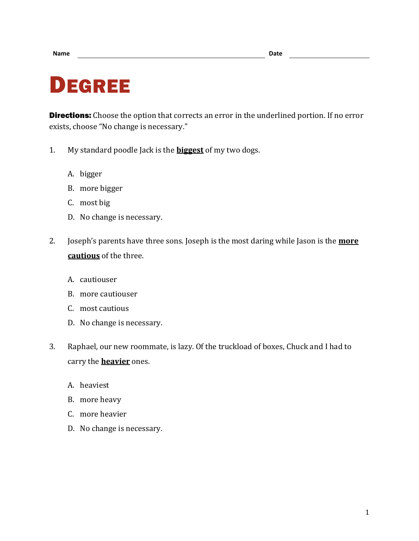## DEGREE

**Directions:** Choose the option that corrects an error in the underlined portion. If no error exists, choose "No change is necessary."

- 1. My standard poodle Jack is the **biggest** of my two dogs.
	- A. bigger
	- B. more bigger
	- C. most big
	- D. No change is necessary.
- 2. Joseph's parents have three sons. Joseph is the most daring while Jason is the **more cautious** of the three.
	- A. cautiouser
	- B. more cautiouser
	- C. most cautious
	- D. No change is necessary.
- 3. Raphael, our new roommate, is lazy. Of the truckload of boxes, Chuck and I had to carry the **heavier** ones.
	- A. heaviest
	- B. more heavy
	- C. more heavier
	- D. No change is necessary.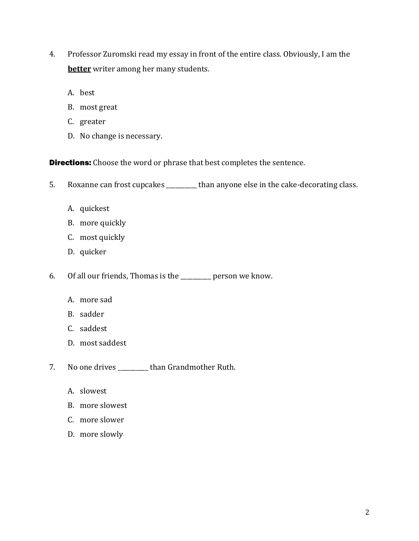- 4. Professor Zuromski read my essay in front of the entire class. Obviously, I am the **better** writer among her many students.
	- A. best
	- B. most great
	- C. greater
	- D. No change is necessary.

**Directions:** Choose the word or phrase that best completes the sentence.

- 5. Roxanne can frost cupcakes \_\_\_\_\_\_\_\_ than anyone else in the cake-decorating class.
	- A. quickest
	- B. more quickly
	- C. most quickly
	- D. quicker
- 6. Of all our friends, Thomas is the \_\_\_\_\_\_\_\_\_\_ person we know.
	- A. more sad
	- B. sadder
	- C. saddest
	- D. most saddest
- 7. No one drives \_\_\_\_\_\_\_\_\_\_ than Grandmother Ruth.
	- A. slowest
	- B. more slowest
	- C. more slower
	- D. more slowly